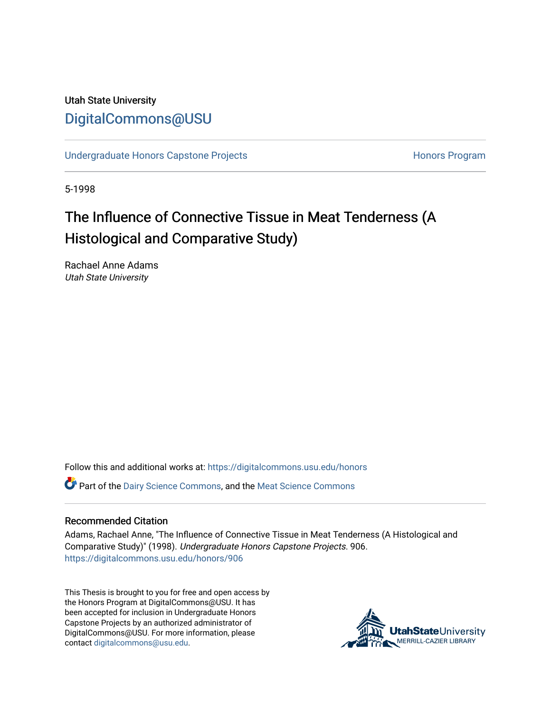# Utah State University [DigitalCommons@USU](https://digitalcommons.usu.edu/)

[Undergraduate Honors Capstone Projects](https://digitalcommons.usu.edu/honors) **Honors Program** Honors Program

5-1998

# The Influence of Connective Tissue in Meat Tenderness (A Histological and Comparative Study)

Rachael Anne Adams Utah State University

Follow this and additional works at: [https://digitalcommons.usu.edu/honors](https://digitalcommons.usu.edu/honors?utm_source=digitalcommons.usu.edu%2Fhonors%2F906&utm_medium=PDF&utm_campaign=PDFCoverPages)

Part of the [Dairy Science Commons,](http://network.bepress.com/hgg/discipline/79?utm_source=digitalcommons.usu.edu%2Fhonors%2F906&utm_medium=PDF&utm_campaign=PDFCoverPages) and the [Meat Science Commons](http://network.bepress.com/hgg/discipline/1301?utm_source=digitalcommons.usu.edu%2Fhonors%2F906&utm_medium=PDF&utm_campaign=PDFCoverPages) 

#### Recommended Citation

Adams, Rachael Anne, "The Influence of Connective Tissue in Meat Tenderness (A Histological and Comparative Study)" (1998). Undergraduate Honors Capstone Projects. 906. [https://digitalcommons.usu.edu/honors/906](https://digitalcommons.usu.edu/honors/906?utm_source=digitalcommons.usu.edu%2Fhonors%2F906&utm_medium=PDF&utm_campaign=PDFCoverPages)

This Thesis is brought to you for free and open access by the Honors Program at DigitalCommons@USU. It has been accepted for inclusion in Undergraduate Honors Capstone Projects by an authorized administrator of DigitalCommons@USU. For more information, please contact [digitalcommons@usu.edu](mailto:digitalcommons@usu.edu).

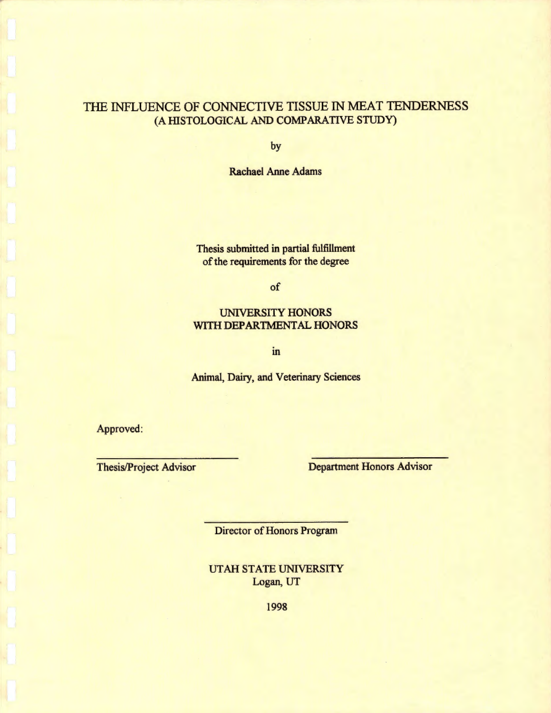# THE INFLUENCE OF CONNECTIVE TISSUE IN MEAT TENDERNESS (A HISTOLOGICAL AND COMPARATIVE STUDY)

by

Rachael Anne Adams

Thesis submitted in partial fulfillment of the requirements for the degree

of

### UNIVERSITY HONORS WITH DEPARTMENTAL HONORS

m

Animal, Dairy, and Veterinary Sciences

Approved:

Thesis/Project Advisor<br>
Department Honors Advisor

Director of Honors Program

UTAH STATE UNIVERSITY Logan, UT

1998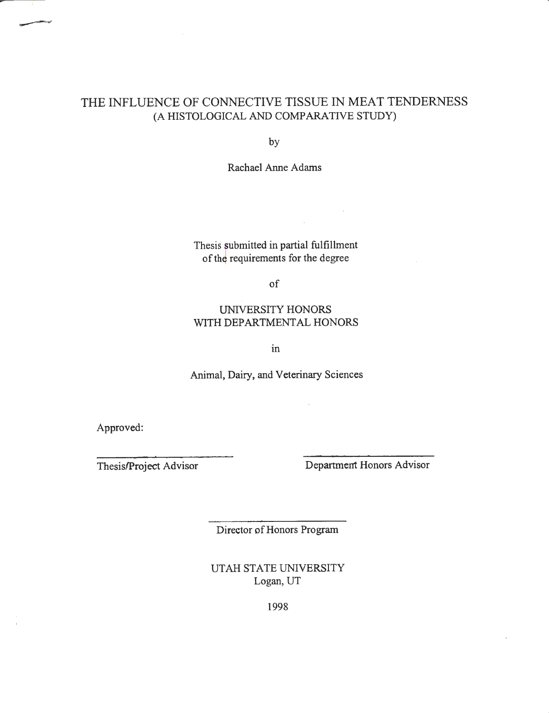## THE INFLUENCE OF CONNECTIVE TISSUE IN MEAT TENDERNESS (A HISTOLOGICAL AND COMP ARA *TNE* STUDY)

by

Rachael Anne Adams

Thesis submitted in partial fulfillment of the requirements for the degree

of

## UNIVERSITY HONORS WITH DEPARTMENTAL HONORS

m

Animal, Dairy, and Veterinary Sciences

Approved:

Thesis/Project Advisor Department Honors Advisor

Director of Honors Program

UT AH STATE UNIVERSITY Logan, UT

1998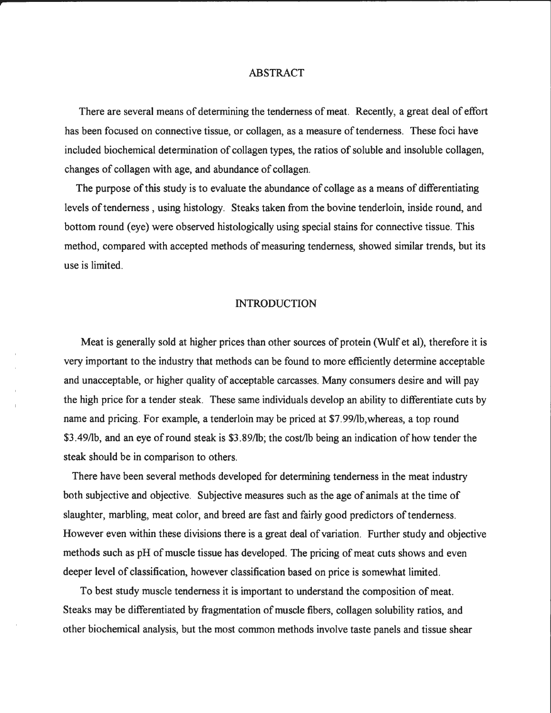#### ABSTRACT

There are several means of determining the tenderness of meat. Recently, a great deal of effort has been focused on connective tissue, or collagen, as a measure of tenderness. These foci have included biochemical determination of collagen types, the ratios of soluble and insoluble collagen, changes of collagen with age, and abundance of collagen.

The purpose of this study is to evaluate the abundance of collage as a means of differentiating levels of tenderness , using histology. Steaks taken from the bovine tenderloin, inside round, and bottom round (eye) were observed histologically using special stains for connective tissue. This method, compared with accepted methods of measuring tenderness, showed similar trends, but its use is limited.

#### INTRODUCTION

Meat is generally sold at higher prices than other sources of protein (Wulf et al), therefore it is very important to the industry that methods can be found to more efficiently determine acceptable and unacceptable, or higher quality of acceptable carcasses. Many consumers desire and will pay the high price for a tender steak. These same individuals develop an ability to differentiate cuts by name and pricing. For example, a tenderloin may be priced at \$7.99/lb,whereas, a top round \$3 .49/lb, and an eye of round steak is \$3. 89/lb; the cost/lb being an indication of how tender the steak should be in comparison to others.

There have been several methods developed for determining tenderness in the meat industry both subjective and objective. Subjective measures such as the age of animals at the time of slaughter, marbling, meat color, and breed are fast and fairly good predictors of tenderness. However even within these divisions there is a great deal of variation. Further study and objective methods such as pH of muscle tissue has developed. The pricing of meat cuts shows and even deeper level of classification, however classification based on price is somewhat limited.

To best study muscle tenderness it is important to understand the composition of meat. Steaks may be differentiated by fragmentation of muscle fibers, collagen solubility ratios, and other biochemical analysis, but the most common methods involve taste panels and tissue shear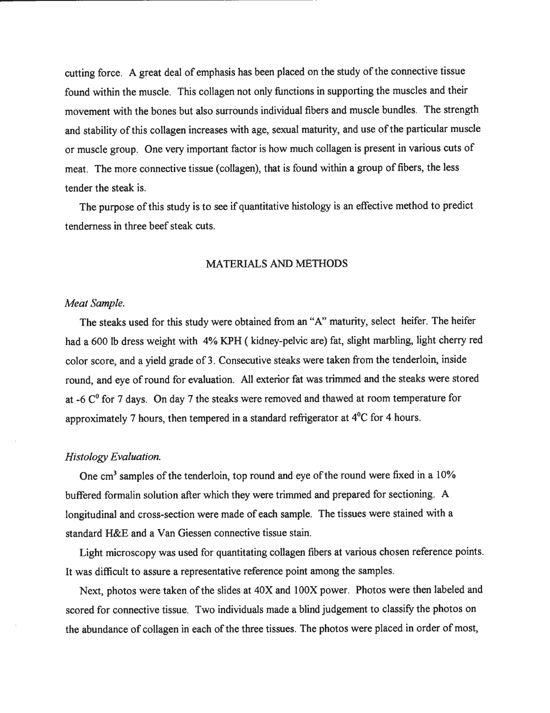cutting force. A great deal of emphasis has been placed on the study of the connective tissue found within the muscle. This collagen not only functions in supporting the muscles and their movement with the bones but also surrounds individual fibers and muscle bundles. The strength and stability of this collagen increases with age, sexual maturity, and use of the particular muscle or muscle group. One very important factor is how much collagen is present in various cuts of meat. The more connective tissue (collagen), that is found within a group of fibers, the less tender the steak is.

The purpose of this study is to see if quantitative histology is an effective method to predict tenderness in three beef steak cuts.

#### MATERIALS AND METHODS

#### *Meat Sample.*

The steaks used for this study were obtained from an "A" maturity, select heifer. The heifer had a 600 lb dress weight with 4% KPH ( kidney-pelvic are) fat, slight marbling, light cherry red color score, and a yield grade of 3. Consecutive steaks were taken from the tenderloin, inside round, and eye of round for evaluation. All exterior fat was trimmed and the steaks were stored at -6  $C<sup>0</sup>$  for 7 days. On day 7 the steaks were removed and thawed at room temperature for approximately 7 hours, then tempered in a standard refrigerator at 4°C for 4 hours.

#### *Histology Evaluation.*

One  $cm<sup>3</sup>$  samples of the tenderloin, top round and eye of the round were fixed in a 10% buffered formalin solution after which they were trimmed and prepared for sectioning. A longitudinal and cross-section were made of each sample. The tissues were stained with a standard H&E and a Van Giessen connective tissue stain.

Light microscopy was used for quantitating collagen fibers at various chosen reference points. It was difficult to assure a representative reference point among the samples.

Next, photos were taken of the slides at 40X and 100X power. Photos were then labeled and scored for connective tissue. Two individuals made a blind judgement to classify the photos on the abundance of collagen in each of the three tissues. The photos were placed in order of most,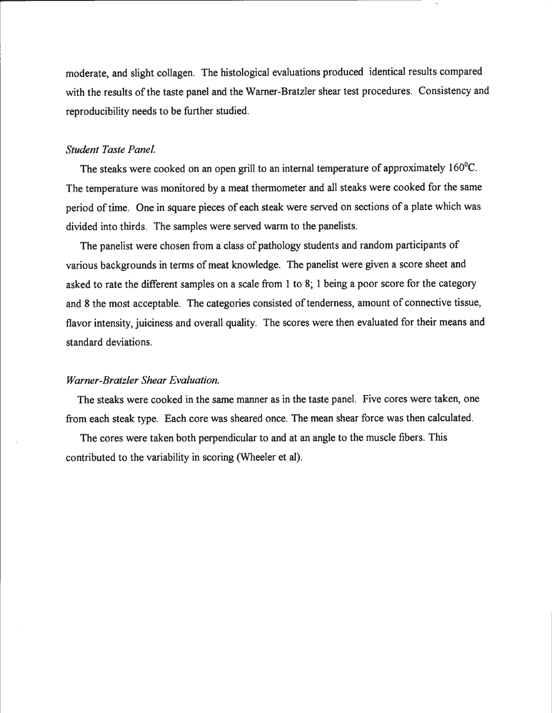moderate, and slight collagen. The histological evaluations produced identical results compared with the results of the taste panel and the Warner-Bratzler shear test procedures. Consistency and reproducibility needs to be further studied.

#### *Student Taste Panel.*

The steaks were cooked on an open grill to an internal temperature of approximately 160<sup>o</sup>C. The temperature was monitored by a meat thermometer and all steaks were cooked for the same period of time. One in square pieces of each steak were served on sections of a plate which was divided into thirds. The samples were served warm to the panelists.

The panelist were chosen from a class of pathology students and random participants of various backgrounds in terms of meat knowledge. The panelist were given a score sheet and asked to rate the different samples on a scale from 1 to 8; 1 being a poor score for the category and 8 the most acceptable. The categories consisted of tenderness, amount of connective tissue, flavor intensity, juiciness and overall quality. The scores were then evaluated for their means and standard deviations.

#### *Warner-Bratz/er Shear Evaluation.*

The steaks were cooked in the same manner as in the taste panel. Five cores were taken, one from each steak type. Each core was sheared once. The mean shear force was then calculated.

The cores were taken both perpendicular to and at an angle to the muscle fibers. This contributed to the variability in scoring (Wheeler et al).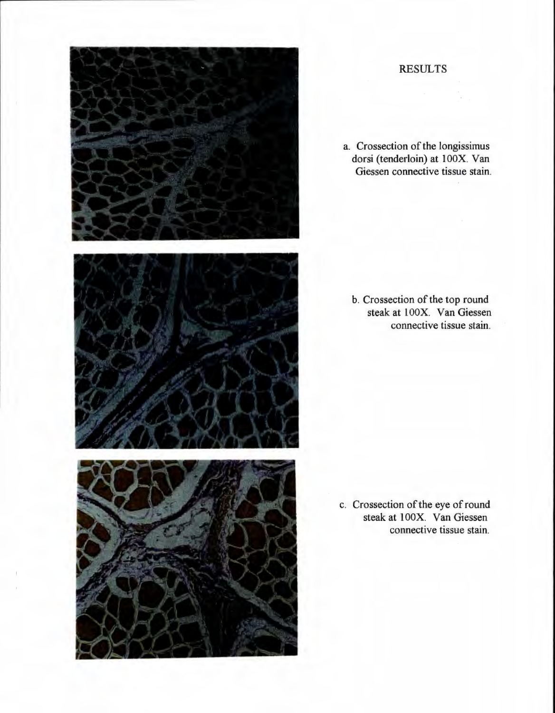

## **RESULTS**

a. Crossection of the longissimus dorsi (tenderloin) at 100X. Van Giessen connective tissue stain.

b. Crossection of the top round steak at 100X. Van Giessen connective tissue stain.

c. Crossection of the eye of round steak at 100X. Van Giessen connective tissue stain.

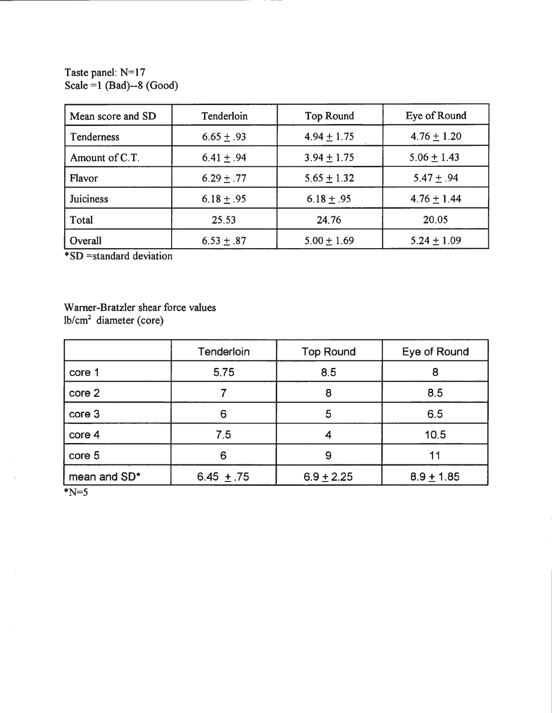Taste panel:  $N=17$  $Scale = 1$  (Bad)--8 (Good)

| Mean score and SD | Tenderloin     | <b>Top Round</b> | Eye of Round    |
|-------------------|----------------|------------------|-----------------|
| Tenderness        | $6.65 \pm .93$ | $4.94 \pm 1.75$  | $4.76 \pm 1.20$ |
| Amount of C.T.    | 6.41 $\pm$ .94 | $3.94 \pm 1.75$  | $5.06 \pm 1.43$ |
| Flavor            | $6.29 \pm .77$ | $5.65 \pm 1.32$  | $5.47 \pm .94$  |
| <b>Juiciness</b>  | $6.18 \pm .95$ | $6.18 \pm .95$   | $4.76 \pm 1.44$ |
| Total             | 25.53          | 24.76            | 20.05           |
| Overall           | $6.53 \pm .87$ | $5.00 \pm 1.69$  | $5.24 \pm 1.09$ |

\* SD =standard deviation

Wamer-Bratzler shear force values lb/cm2 diameter (core)

|              | Tenderloin     | <b>Top Round</b> | Eye of Round   |
|--------------|----------------|------------------|----------------|
| core 1       | 5.75           | 8.5              | 8              |
| core 2       |                | 8                | 8.5            |
| core 3       | 6              | 5                | 6.5            |
| core 4       | 7.5            |                  | 10.5           |
| core 5       | 6              | 9                | 11             |
| mean and SD* | 6.45 $\pm .75$ | $6.9 \pm 2.25$   | $8.9 \pm 1.85$ |

 $N=5$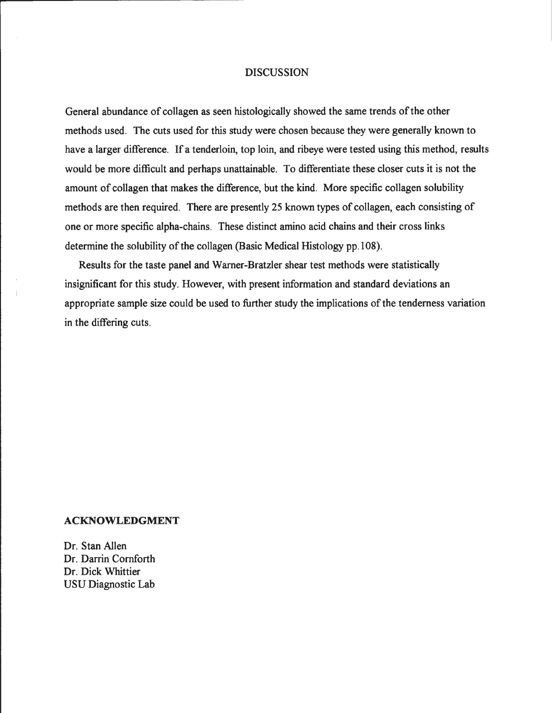#### DISCUSSION

General abundance of collagen as seen histologically showed the same trends of the other methods used. The cuts used for this study were chosen because they were generally known to have a larger difference. If a tenderloin, top loin, and ribeye were tested using this method, results would be more difficult and perhaps unattainable. To differentiate these closer cuts it is not the amount of collagen that makes the difference, but the kind. More specific collagen solubility methods are then required. There are presently 25 known types of collagen, each consisting of one or more specific alpha-chains. These distinct amino acid chains and their cross links determine the solubility of the collagen (Basic Medical Histology pp.108).

Results for the taste panel and Wamer-Bratzler shear test methods were statistically insignificant for this study. However, with present information and standard deviations an appropriate sample size could be used to further study the implications of the tenderness variation in the differing cuts.

#### **ACKNOWLEDGMENT**

Dr. Stan Allen Dr. Darrin Cornforth Dr. Dick Whittier USU Diagnostic Lab